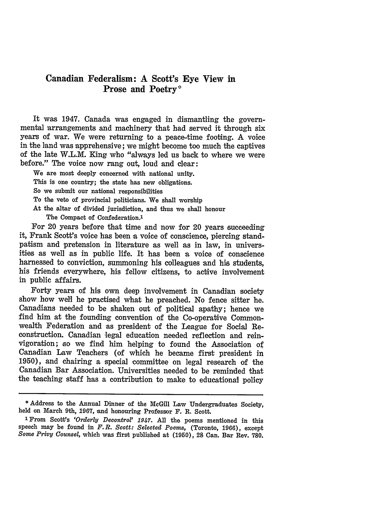## **Canadian Federalism: A Scott's Eye View in Prose and Poetry\***

It was 1947. Canada was engaged in dismantling the governmental arrangements and machinery that had served it through six years of war. We were returning to a peace-time footing. A voice in the land was apprehensive; we might become too much the captives of the late W.L.M. King who "always led us back to where we were before." The voice now rang out, loud and clear:

We are most deeply concerned with national unity. This is one country; the state has new obligations. So we submit our national responsibilities To the veto of provincial politicians. We shall worship At the altar of divided jurisdiction, and thus we shall honour

The Compact of Confederation.<sup>1</sup>

For 20 years before that time and now for 20 years succeeding it, Frank Scott's voice has been a voice of conscience, piercing standpatism and pretension in literature as well as in law, in universities as well as in public life. It has been a voice of conscience harnessed to conviction, summoning his colleagues and his students, his friends everywhere, his fellow citizens, to active involvement in public affairs.

Forty years of his own deep involvement in Canadian society show how well he practised what he preached. No fence sitter he. Canadians needed to be shaken out of political apathy; hence we find him at the founding convention of the Co-operative Commonwealth Federation and **'as** president of the League for Social Reconstruction. Canadian legal education needed reflection and reinvigoration; so we find him helping to found the Association of Canadian Law Teachers (of which he became first president in 1950), and chairing a special committee on legal research of the Canadian Bar Association. Universities needed to be reminded that the teaching staff has a contribution to make to educational policy

<sup>\*</sup> Address to the Annual Dinner of the McGill Law Undergraduates Society, held on March 9th, 1967, and honouring Professor F. R. Scott.

**<sup>1</sup>From** Scott's *'Orderly Decontrol' 1947.* All the poems mentioned in this speech may be found in *F.R. Scott: Selected Poems,* (Toronto, 1966), except *Some Privy Counsel,* which was first published at (1950), **28** Can. Bar Rev. **780.**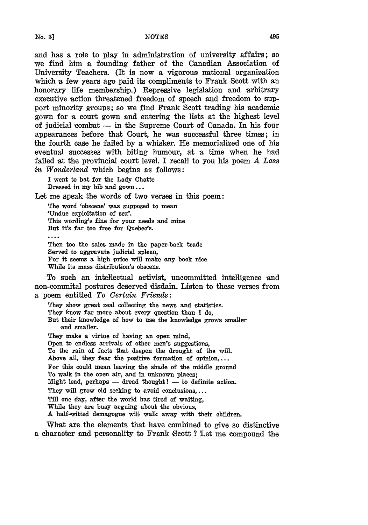and has a role to play in administration of university affairs; so we find him a founding father of the Canadian Association of University Teachers. (It is now a vigorous national organization which a few years ago paid its compliments to Frank Scott with an honorary life membership.) Repressive legislation and arbitrary executive action threatened freedom of speech and freedom to support minority groups; so we find Frank Scott trading his academic gown for a court gown and entering the **lists** at the highest level of judicial combat - in the Supreme Court of Canada. In his four appearances before that Court, he was successful three times; in the fourth case he failed **by** a whisker. He memorialized one of his eventual successes with biting humour, at a time when he had failed at the provincial court level. I recall to you his poem *A Lass in Wonderland* which begins as follows:

**I** went to bat for the Lady Chatte Dressed in my bib and **gown...**

Let me speak the words of two verses in this poem:

The word 'obscene' was supposed to mean 'Undue exploitation of sex'. This wording's fine for your needs and mine But it's far too free for Quebec's. Then too the sales made in the paper-back trade Served to aggravate judicial spleen, For it seems a high price will make any book nice While its mass distribution's obscene.

To such an intellectual activist, uncommitted intelligence and non-commital postures deserved disdain. Listen to these verses from **a** poem entitled *To Certain Friends:*

They show great zeal collecting the news and statistics. They know far more about every question than **I** do, But their knowledge of how to use the knowledge grows smaller and smaller. They make a virtue of having an open mind, Open to endless arrivals of other men's suggestions, To the rain of facts that deepen the drought of the will. Above all, they fear the positive formation of opinion,... For this could mean leaving the shade of the middle ground To walk in the open air, and in unknown places; Might lead, perhaps  $-$  dread thought!  $-$  to definite action. They will grow old seeking to avoid conclusions.... Till one day, after the world has tired of waiting,

While they are busy arguing about the obvious,

A half-witted demagogue will walk away with their children.

What are the elements that have combined to give so distinctive **a** character and personality to Frank Scott ? Let me compound the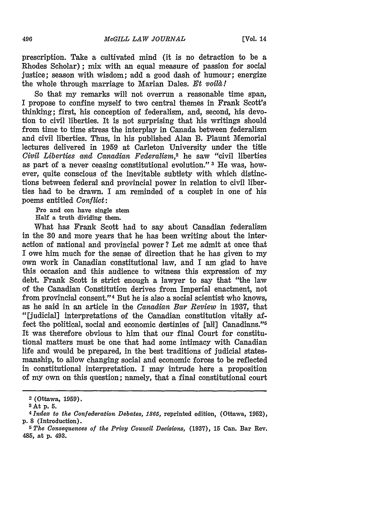prescription. Take a cultivated mind (it is no detraction to be a Rhodes Scholar); mix with an equal measure of passion for social justice; season with wisdom; add a good dash of humour; energize the whole through marriage to Marian Dales. *Et voilà!* 

So that my remarks will not overrun a reasonable time span, I propose to confine myself to two central themes in Frank Scott's thinking; first, his conception of federalism, and, second, his devotion to civil liberties. It is not surprising that his writings should from time to time stress the interplay in Canada between federalism and civil liberties. Thus, in his published Alan B. Plaunt Memorial lectures delivered in **1959** at Carleton University under the title *Civil Liberties and Canadian Federalism,2* he saw "civil liberties as part of 'a never ceasing constitutional evolution." **3 He** was, however, quite conscious of the inevitable subtlety with which distinctions between federal and provincial power in relation to civil liberties had to be drawn. I am reminded of a couplet in one of his poems entitled *Conflict:*

**Pro and** con have single stem

Half a truth dividing them.

What has Frank Scott had to say about Canadian federalism in the 30 and more years that he has been writing about the interaction of national and provincial power? Let me admit at once that I owe him much for the sense of direction that he has given to my own work in Canadian constitutional law, and I am glad to have this occasion and this audience to witness this expression of my debt. Frank Scott is strict enough a lawyer to say that "the law of the Canadian Constitution derives from Imperial enactment, not from provincial consent."<sup>4</sup> But he is also a social scientist who knows, as he said in an article in the *Canadian Bar Review* in 1937, that "[judicial] interpretations of the Canadian constitution vitally affect the political, social and economic destinies of [all] Canadians."5 It was therefore obvious to him that our final Court for constitutional matters must be one that had some intimacy with Canadian life and would be prepared, in the best traditions of judicial statesmanship, to allow changing social and economic forces to be reflected in constitutional interpretation. I may intrude here a proposition of my own on this question; namely, that a final constitutional court

**<sup>2</sup>** (Ottawa, **1959).**

**<sup>3</sup>At p. 5.**

*<sup>4</sup> Index to the Confederation Debates, 1865,* **reprinted edition,** (Ottawa, **1952), p. 8** (Introduction).

**<sup>5</sup>** *The Consequences of the Privy Council Decisions,* **(1937), 15** Can. **Bar Rev.** 485, **at p.** 493.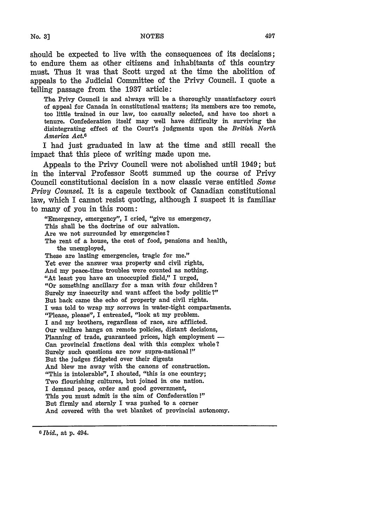should be expected to live with the consequences of its decisions; to endure them as other citizens and inhabitants of this country must. Thus it was that Scott urged at the time the abolition of appeals to the Judicial Committee of the Privy Council. I quote a telling passage from the 1937 article:

The Privy Council is and always will be a thoroughly unsatisfactory court of appeal for Canada in constitutional matters; its members are too remote, too little trained in our law, too casually selected, and have too short a tenure. Confederation itself may well have difficulty in surviving the disintegrating effect of the Court's judgments upon the *British North America Act. <sup>6</sup>*

I had just graduated in law at the time and still recall the impact that this piece of writing made upon me.

Appeals to the Privy Council were not abolished until 1949; but in the interval Professor Scott summed up the course of Privy Council constitutional decision in a now classic verse entitled *Some Privy Counsel.* It is a capsule textbook of Canadian constitutional law, which I cannot resist quoting, although I suspect it is familiar to many of you in this room:

"Emergency, emergency", I cried, "give us emergency, This shall be the doctrine of our salvation. Are we not surrounded by emergencies? The rent of a house, the cost of food, pensions and health, the unemployed, These are lasting emergencies, tragic for me." Yet ever the answer was property and civil rights, And my peace-time troubles were counted as nothing. "At least you have an unoccupied field," I urged, "Or something ancillary for a man with four children? Surely my insecurity and want affect the body politic ?" But back came the echo of property and civil rights. I was told to wrap my sorrows in water-tight compartments. "Please, please", I entreated, "look at my problem. I and my brothers, regardless of race, are afflicted. Our welfare hangs on remote policies, distant decisions, Planning of trade, guaranteed prices, high employment -Can provincial fractions deal with this complex whole? Surely such questions are now supra-national !" But the judges fidgeted over their digests And blew me away with the canons of construction. "This is intolerable", I shouted, "this is one country; Two flourishing cultures, but joined in one nation. I demand peace, order and good government, This you must admit is the aim of Confederation !" But firmly and sternly I was pushed to a corner And covered with the wet blanket of provincial autonomy.

**6** *Ibid.,* at p. 494.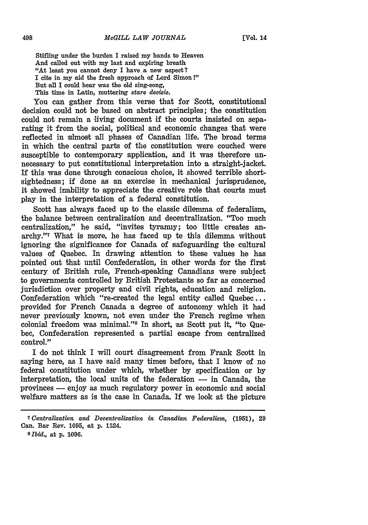**[Vol. 14**

Stifling under the burden I raised my hands to Heaven And called out with my last and expiring breath "At least you cannot deny I have a new aspect? I cite in my aid the fresh approach of Lord Simon!" But all I could hear was the old sing-song, This time in Latin, muttering *stare decisis*.

You can gather from this verse that for Scott, constitutional decision could not be based on abstract principles; the constitution could not remain a living document if the courts insisted on separating it from the social, political and economic changes that were reflected in almost all phases of Canadian life. The broad terms in which the central parts of the constitution were couched were susceptible to contemporary application, and it was therefore unnecessary to put constitutional interpretation into a straight-jacket. If this was done through conscious choice, it showed terrible shortsightedness; if done as an exercise in mechanical jurisprudence, it showed inability to appreciate the creative role that courts must play in the interpretation of a federal constitution.

Scott has always faced up to the classic dilemma of federalism, the balance between centralization and decentralization. "Too much centralization," he said, "invites tyranny; too little creates anarchy." What is more, he has faced up te this dilemma without ignoring the significance for Canada of safeguarding the cultural values of Quebec. In drawing attention to these values he has pointed out that until Confederation, in other words for the first century of British rule, French-speaking Canadians were subject to governments controlled **by** British Protestants so far as concerned jurisdiction over property and civil rights, education and religion. Confederation which "re-created the legal entity called Quebec... provided for French Canada **a** degree of autonomy which it had never previously known, not even under the French regime when colonial freedom was minimal."" In short, as Scott put it, "to Quebec, Confederation represented a partial escape from centralized control."

I do not think I will court disagreement from Frank Scott in saying here, as I have said many times before, that I know of no federal constitution under which, whether **by** specification or **by** interpretation, the local units of the federation  $-$  in Canada, the provinces **-** enjoy as much regulatory power in economic and social welfare matters as is the case in Canada. If we look at the picture

**<sup>7</sup>** *Centralization and Decentralization in Canadian Federalism,* **(1951), 29** Can. Bar Rev. 1095, at **p.** 1124.

*sIbid.,* at **p.** 1096.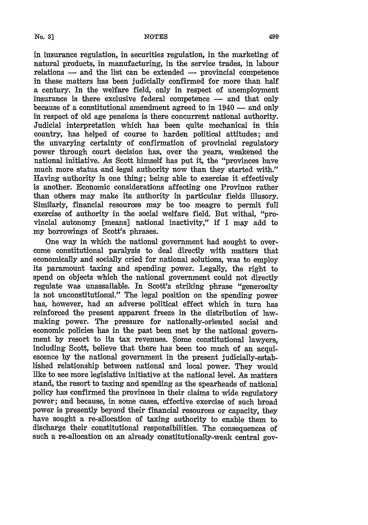in insurance regulation, in securities regulation, in the marketing of natural products, in manufacturing, in the service trades, in labour relations  $-$  and the list can be extended  $-$  provincial competence in these matters has been judicially confirmed for more than half a century. In the welfare field, only in respect of unemployment insurance is there exclusive federal competence  $-$  and that only because of a constitutional amendment agreed to in 1940 - and only in respect of old age pensions is there concurrent national authority. Judicial interpretation which has been quite mechanical in this country, has helped of course to harden political attitudes; **and** the unvarying certainty of confirmation of provincial regulatory power through court decision has, over the years, weakened the national initiative. As Scott himself has put it, the "provinces have much more status and legal authority now than they started with." Having authority is one thing; being able to exercise it effectively is another. Economic considerations affecting one Province rather than others may make its authority in particular fields illusory. Similaxly, financial resources may be too meagre to permit full exercise of authority in the social welfare field. But withal, "provincial autonomy [means] national inactivity," if I may add to my borrowings of Scott's phrases.

One way in which the national government had sought to overcome constitutional paralysis to deal directly with matters that economically and socially cried for national solutions, was to employ its paramount taxing and spending power. Legally, the right to spend on objects which the national government could not directly regulate was unassailable. In Scott's striking phrase "generosity is not unconstitutional." The legal position on the spending power has, however, had an adverse political effect which in turn has reinforced the present apparent freeze in the distribution of lawmaking power. The pressure for nationally-oriented social and economic policies has in the past been met by the national government by resort to its tax revenues. Some constitutional lawyers, including Scott, believe that there has been too much of an acquiescence **by** the national government in the present judicially-established relationship between national and local power. They would like to see more legislative initiative at the national level. As matters stand, the resort to taxing and spending as the spearheads of national policy has confirmed the provinces in their claims to wide regulatory power; and because, in some cases, effective exercise of such broad power is presently beyond their financial resources or capacity, they have sought a re-allocation of taxing authority to enable them to discharge their constitutional responsibilities. The consequences of such a re-allocation on an already constitutionally-weak central gov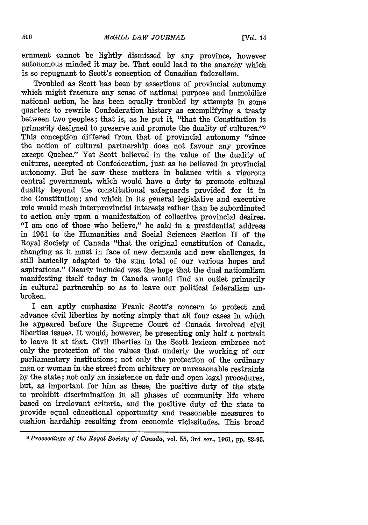ernment cannot be lightly dismissed by any province, however autonomous minded it may be. That could lead to the anarchy which is so repugnant to Scott's conception of Canadian federalism.

Troubled as Scott has been by assertions of provincial autonomy which might fracture any sense of national purpose and immobilize national action, he has been equally troubled by attempts in some quarters to rewrite Confederation history as exemplifying a treaty between two peoples; that is, as he put it, "that the Constitution is primarily designed to preserve and promote the duality of cultures."0 This conception differed from that of provincial autonomy "since the notion of cultural partnership does not favour any province except Quebec." Yet Scott believed in the value of the duality of cultures, accepted at Confederation, just as he believed in provincial autonomy. But he saw these matters in balance with a vigorous central government, which would have a duty to promote cultural duality beyond the constitutional safeguards provided for it in the Constitution; and which in its general legislative and executive role would mesh interprovincial interests rather than be subordinated to action only upon a manifestation of collective provincial desires. "I am one of those who believe," he said in a presidential address in 1961 to the Humanities and Social Sciences Section II of the Royal Society of Canada "that the original constitution of Canada, changing as it must in face of new demands and new challenges, is still basically adapted to the sum total of our various hopes and aspirations." Clearly included was the hope that the dual nationalism manifesting itself today in Canada would find an outlet primarily in cultural partnership so as to leave our political federalism unbroken.

I can aptly emphasize Frank Scot's concern to protect and advance civil liberties by noting simply that all four cases in which he appeared before the Supreme Court of Canada involved civil liberties issues. It would, however, be presenting only half a portrait to leave it at that. Civil liberties in the Scott lexicon embrace not only the protection of the values that underly the working of our parliamentary institutions; not only the protection of the ordinary man or woman in the street from arbitrary or unreasonable restraints by the state; not only an insistence on fair and open legal procedures, but, as important for him as these, the positive duty of the state to prohibit discrimination in all phases of community life where based on irrelevant criteria, and the positive duty of the state to provide equal educational opportunity and reasonable measures to cushion hardship resulting from economic vicissitudes. This broad

**<sup>9</sup>** *Proceedings of the Royal Society of Canada,* vol. 55, 3rd ser., **1061, pp. 83-95.**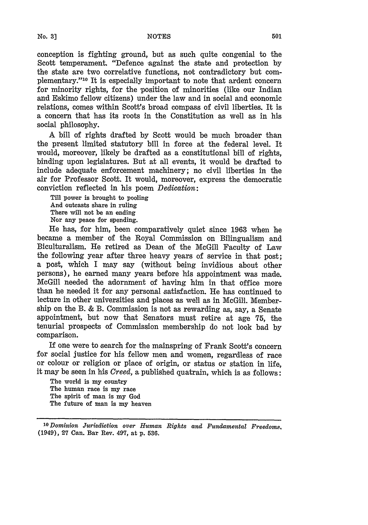conception is fighting ground, but as such quite congenial to the Scott temperament. "Defence against the state and protection **by** the state are two correlative functions, not contradictory but complementary."'01 It is especially important to note that ardent concern for minority rights, for the position of minorities (like our Indian and Eskimo fellow citizens) under the law and in social and economic relations, comes within Scott's broad compass of civil liberties. It is a concern that has its roots in the Constitution as well as in his social philosophy.

A bill of rights drafted **by** Scott would be much broader than the present limited statutory bill in force at the federal level. It would, moreover, likely be drafted as a constitutional bill of rights, binding upon legislatures. But at all events, it would be drafted to include adequate enforcement machinery; no civil liberties in the air for Professor Scott. It would, moreover, express the democratic conviction reflected in his poem *Dedication:*

Till power is brought to pooling And outcasts share in ruling There will not be an ending Nor any peace for spending.

**He** has, for him, been comparatively quiet since **1963** when he became a member of the Royal Commission on Bilingualism and Biculturalism. **He** retired as Dean of the McGill Faculty of Law the following year after three heavy years of service in that post; a post, which I may say (without being invidious about other persons), he earned many years before his appointment was made. McGill needed the adornment of having him in that office more than he needed it for any personal satisfaction. **He** has continued to lecture in other universities and places as well as in McGill. Membership on the B. **&** B. Commission is not as rewarding as, say, a Senate appointment, but now that Senators must retire at age **75,** the tenurial prospects of Commission membership do not look bad **by** comparison.

If one were to search for the mainspring of Frank Scott's concern for social justice for his fellow men and women, regardless of race or colour or religion or place of origin, or status or station in life, it may be seen in his *Creed,* a published quatrain, which is as follows:

The world is my country The human race is my race The spirit of man is my God The future of **man** is my heaven

*<sup>&#</sup>x27; <sup>0</sup> Dominion Jurisdiction over Human Rights and Fundamental Freedoms.* (1949), **27** Can. Bar Rev. 497, at p. 536.